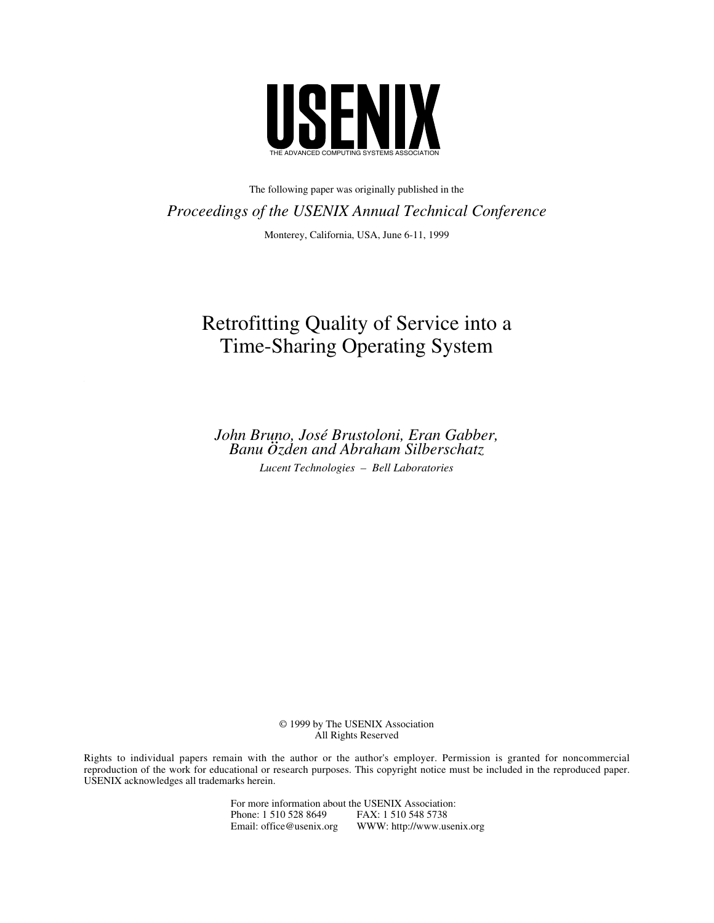

The following paper was originally published in the *Proceedings of the USENIX Annual Technical Conference*

Monterey, California, USA, June 6-11, 1999

# Retrofitting Quality of Service into a Time-Sharing Operating System

*John Bruno, José Brustoloni, Eran Gabber, Banu özden and Abraham Silberschatz Lucent Technologies – Bell Laboratories*

> © 1999 by The USENIX Association All Rights Reserved

Rights to individual papers remain with the author or the author's employer. Permission is granted for noncommercial reproduction of the work for educational or research purposes. This copyright notice must be included in the reproduced paper. USENIX acknowledges all trademarks herein.

> For more information about the USENIX Association:<br>Phone: 1 510 528 8649 FAX: 1 510 548 5738 Phone: 1 510 528 8649<br>Email: office@usenix.org WWW: http://www.usenix.org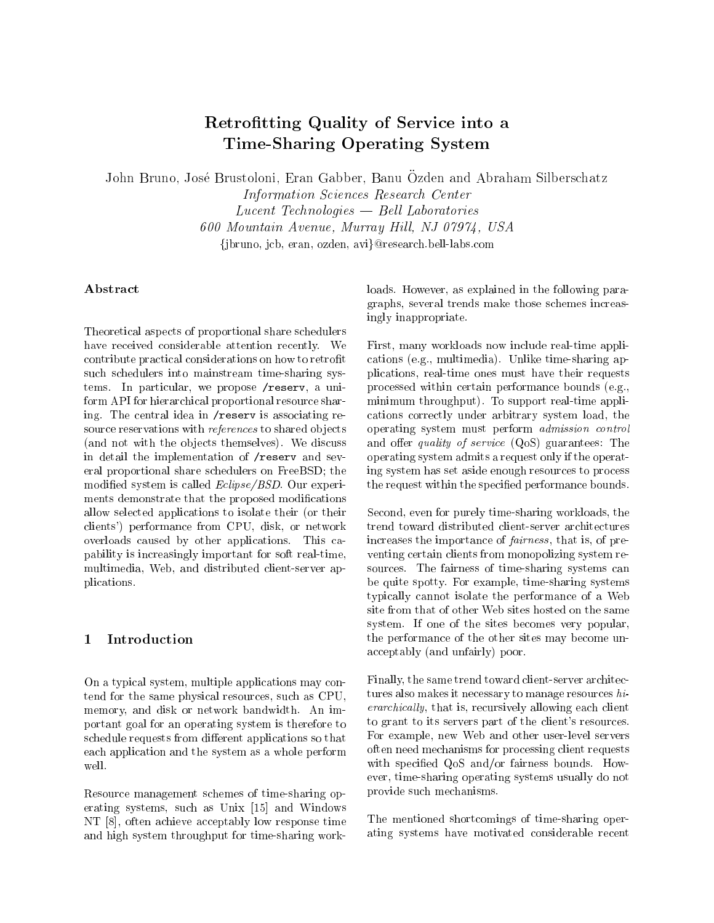## Retrotting Quality of Service into <sup>a</sup> Time-Sharing Operating System

John Bruno, Jose Brustoloni, Eran Gabber, Banu Ozden and Abraham Silberschatz

Information Sciences Research Center  $Lucent$  Technologies  $-$  Bell Laboratories 600 Mountain Avenue, Murray Hill, NJ 07974, USA fjbruno, jcb, eran, ozden, avig@research.bell-labs.com

## Abstract

Theoretical aspects of proportional share schedulers have received considerable attention recently. We contribute practical considerations on how to retrofit such schedulers into mainstream time-sharing systems. In particular, we propose /reserv, a uniform API for hierarchical proportional resource sharing. The central idea in  $/$ reserv is associating resource reservations with *references* to shared objects (and not with the ob jects themselves). We discuss in detail the implementation of /reserv and several proportional share schedulers on FreeBSD; the modified system is called *Eclipse/BSD*. Our experiments demonstrate that the proposed modifications allow selected applications to isolate their (or their clients') performance from CPU, disk, or network overloads caused by other applications. This capability is increasingly important for soft real-time, multimedia, Web, and distributed client-server applications.

#### $\mathbf{1}$  Introduction  $\overline{\phantom{a}}$

On a typical system, multiple applications may contend for the same physical resources, such as CPU, memory, and disk or network bandwidth. An important goal for an operating system is therefore to schedule requests from different applications so that each application and the system as a whole perform well.

Resource management schemes of time-sharing operating systems, such as Unix [15] and Windows NT [8], often achieve acceptably low response time and high system throughput for time-sharing workloads. However, as explained in the following paragraphs, several trends make those schemes increasingly inappropriate.

First, many workloads now include real-time applications (e.g., multimedia). Unlike time-sharing applications, real-time ones must have their requests processed within certain performance bounds (e.g., minimum throughput). To support real-time applications correctly under arbitrary system load, the operating system must perform admission control and offer *quality of service*  $(QoS)$  guarantees: The operating system admits a request only if the operating system has set aside enough resources to process the request within the specied performance bounds.

Second, even for purely time-sharing workloads, the trend toward distributed client-server architectures increases the importance of fairness , that is, of pre venting certain clients from monopolizing system resources. The fairness of time-sharing systems can be quite spotty. For example, time-sharing systems typically cannot isolate the performance of a Web site from that of other Web sites hosted on the same system. If one of the sites becomes very popular, the performance of the other sites may become unacceptably (and unfairly) poor.

Finally, the same trend toward client-server architectures also makes it necessary to manage resources hierarchically, that is, recursively allowing each client to grant to its servers part of the client's resources. For example, new Web and other user-level servers often need mechanisms for processing client requests with specified QoS and/or fairness bounds. However, time-sharing operating systems usually do not provide such mechanisms.

The mentioned shortcomings of time-sharing operating systems have motivated considerable recent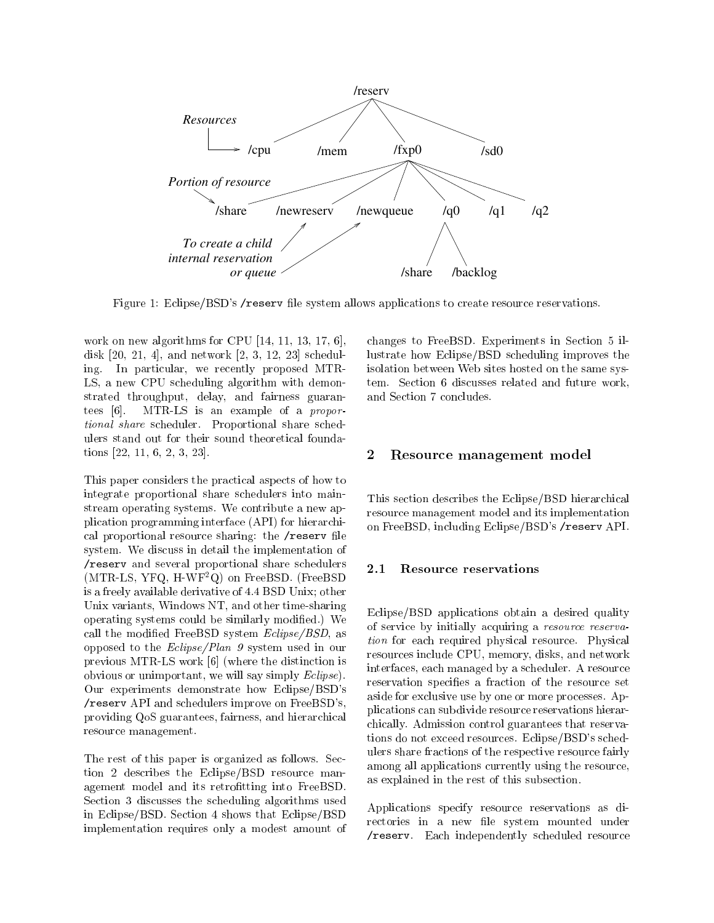

Figure 1: Eclipse/BSD's /reserv file system allows applications to create resource reservations.

work on new algorithms for CPU [14, 11, 13, 17, 6], disk [20, 21, 4], and network [2, 3, 12, 23] scheduling. In particular, we recently proposed MTR-LS, a new CPU scheduling algorithm with demonstrated throughput, delay, and fairness guarantees [6]. MTR-LS is an example of a proportional share scheduler. Proportional share schedulers stand out for their sound theoretical foundations [22, 11, 6, 2, 3, 23].

This paper considers the practical aspects of how to integrate proportional share schedulers into mainstream operating systems. We contribute a new application programming interface (API) for hierarchical proportional resource sharing: the /reserv file system. We discuss in detail the implementation of /reserv and several proportional share schedulers (MTR-LS, YFQ, H-WF2Q) on FreeBSD. (FreeBSD is a freely available derivative of 4.4 BSD Unix; other Unix variants, Windows NT, and other time-sharing operating systems could be similarly modied.) We call the modified FreeBSD system  $Eclipse/BSD$ , as opposed to the Eclipse/Plan 9 system used in our previous MTR-LS work [6] (where the distinction is obvious or unimportant, we will say simply Eclipse). Our experiments demonstrate how Eclipse/BSD's /reserv API and schedulers improve on FreeBSD's, providing QoS guarantees, fairness, and hierarchical resource management.

The rest of this paper is organized as follows. Section 2 describes the Eclipse/BSD resource management model and its retrofitting into FreeBSD. Section 3 discusses the scheduling algorithms used in Eclipse/BSD. Section 4 shows that Eclipse/BSD implementation requires only a modest amount of changes to FreeBSD. Experiments in Section 5 illustrate how Eclipse/BSD scheduling improves the isolation between Web sites hosted on the same system. Section 6 discusses related and future work, and Section 7 concludes.

#### 2Resource management model

This section describes the Eclipse/BSD hierarchical resource management model and its implementation on FreeBSD, including Eclipse/BSD's /reserv API.

Eclipse/BSD applications obtain a desired quality of service by initially acquiring a resource reservation for each required physical resource. Physical resources include CPU, memory, disks, and network interfaces, each managed by a scheduler. A resource reservation specifies a fraction of the resource set aside for exclusive use by one or more processes. Applications can subdivide resource reservations hierarchically. Admission control guarantees that reservations do not exceed resources. Eclipse/BSD's schedulers share fractions of the respective resource fairly among all applications currently using the resource, as explained in the rest of this subsection.

Applications specify resource reservations as directories in a new file system mounted under /reserv. Each independently scheduled resource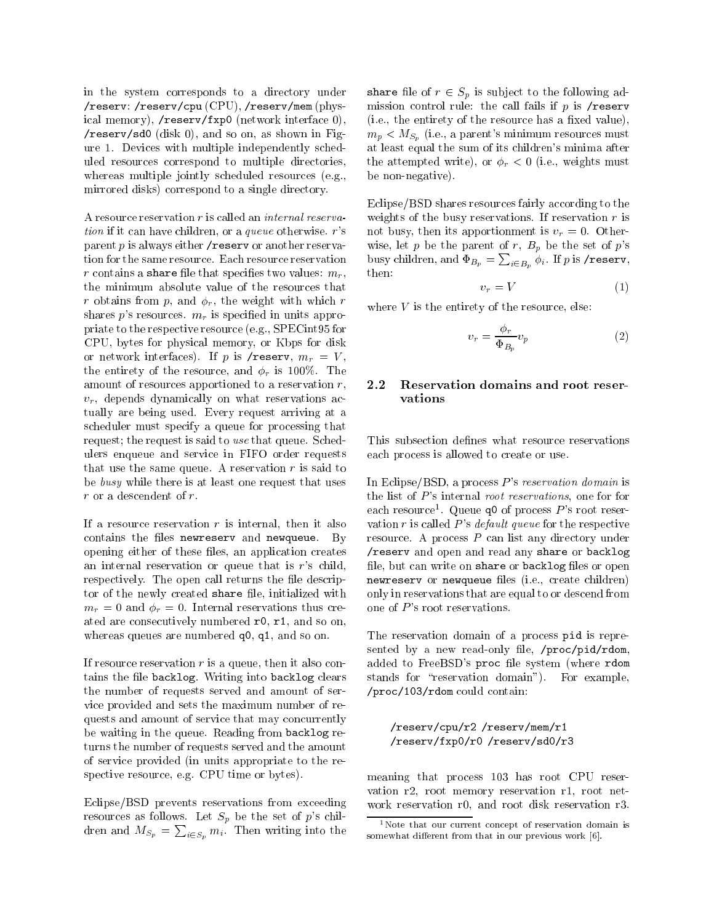in the system corresponds to a directory under /reserv: /reserv/cpu (CPU), /reserv/mem (physical memory), /reserv/fxp0 (network interface 0), /reserv/sd0 (disk 0), and so on, as shown in Figure 1. Devices with multiple independently scheduled resources correspond to multiple directories, whereas multiple jointly scheduled resources (e.g., mirrored disks) correspond to a single directory.

A resource reservation <sup>r</sup> is called an internal reservation if it can have children, or a queue otherwise. <sup>r</sup>'s parent  $p$  is always either / reserv or another reservation for the same resource. Each resource reservation r contains a share file that specifies two values:  $m_r$ , the minimum absolute value of the resources that r obtains from p, and  $\phi_r$ , the weight with which r shares p's resources.  $m_r$  is specified in units appropriate to the respective resource (e.g., SPECint95 for CPU, bytes for physical memory, or Kbps for disk or network interfaces). If p is /reserv,  $m_r = V$ , the entirety of the resource, and  $\phi_r$  is 100%. The amount of resources apportioned to a reservation  $r$ , 2.2  $v_r$ , depends dynamically on what reservations actually are being used. Every request arriving at a scheduler must specify a queue for processing that request; the request is said to use that queue. Schedulers enqueue and service in FIFO order requests that use the same queue. A reservation  $r$  is said to be busy while there is at least one request that uses <sup>r</sup> or a descendent of r.

If a resource reservation  $r$  is internal, then it also contains the files newreserv and newqueue. By opening either of these files, an application creates an internal reservation or queue that is <sup>r</sup>'s child, respectively. The open call returns the file descriptor of the newly created share file, initialized with  $m_r = 0$  and  $\phi_r = 0$ . Internal reservations thus created are consecutively numbered r0, r1, and so on, whereas queues are numbered  $q0$ ,  $q1$ , and so on.

If resource reservation  $r$  is a queue, then it also contains the file backlog. Writing into backlog clears the number of requests served and amount of service provided and sets the maximum number of requests and amount of service that may concurrently be waiting in the queue. Reading from backlog returns the number of requests served and the amount of service provided (in units appropriate to the respective resource, e.g. CPU time or bytes).

Eclipse/BSD prevents reservations from exceeding resources as follows. Let  $S_p$  be the set of p's children and  $M_{S_p} = \sum_{i \in S_p} m_i$ . Then writing into the som

share file of  $r \in S_n$  is subject to the following admission control rule: the call fails if  $p$  is /reserv  $(i.e., the entirety of the resource has a fixed value),$  $m_p < M_{S_p}$  (i.e., a parent's minimum resources must at least equal the sum of its children's minima after the attempted write), or  $\phi_r < 0$  (i.e., weights must be non-negative).

Eclipse/BSD shares resources fairly according to the weights of the busy reservations. If reservation  $r$  is not busy, then its apportionment is  $v_r = 0$ . Otherwise, let  $p$  be the parent of  $r$ ,  $B_p$  be the set of  $p$ 's busy children, and  $\Phi_{B_p} = \sum_{i \in B_n} \phi_i$ . If  $p$  is **/reserv**, then:

$$
v_r = V \tag{1}
$$

where  $V$  is the entirety of the resource, else:

$$
v_r = \frac{\phi_r}{\Phi_{B_p}} v_p \tag{2}
$$

### Reservation domains and root reservations

This subsection defines what resource reservations each process is allowed to create or use.

In Eclipse/BSD, a process  $P$ 's reservation domain is the list of P's internal root reservations, one for for each resource<sup>1</sup>. Queue q0 of process  $P$ 's root reservation r is called  $P$ 's *default queue* for the respective resource. A process <sup>P</sup> can list any directory under /reserv and open and read any share or backlog file, but can write on share or backlog files or open newreserv or newqueue les (i.e., create children) only in reservations that are equal to or descend from one of  $P$ 's root reservations.

The reservation domain of a process pid is represented by a new read-only file,  $/proc/pid/rdom$ , added to FreeBSD's proc file system (where rdom stands for "reservation domain"). For example, /proc/103/rdom could contain:

#### /reserv/cpu/r2 /reserv/mem/r1 /reserv/fxp0/r0 /reserv/sd0/r3

meaning that process 103 has root CPU reser vation r2, root memory reservation r1, root net work reservation r0, and root disk reservation r3.

 $1$ Note that our current concept of reservation domain is somewhat different from that in our previous work  $[6]$ .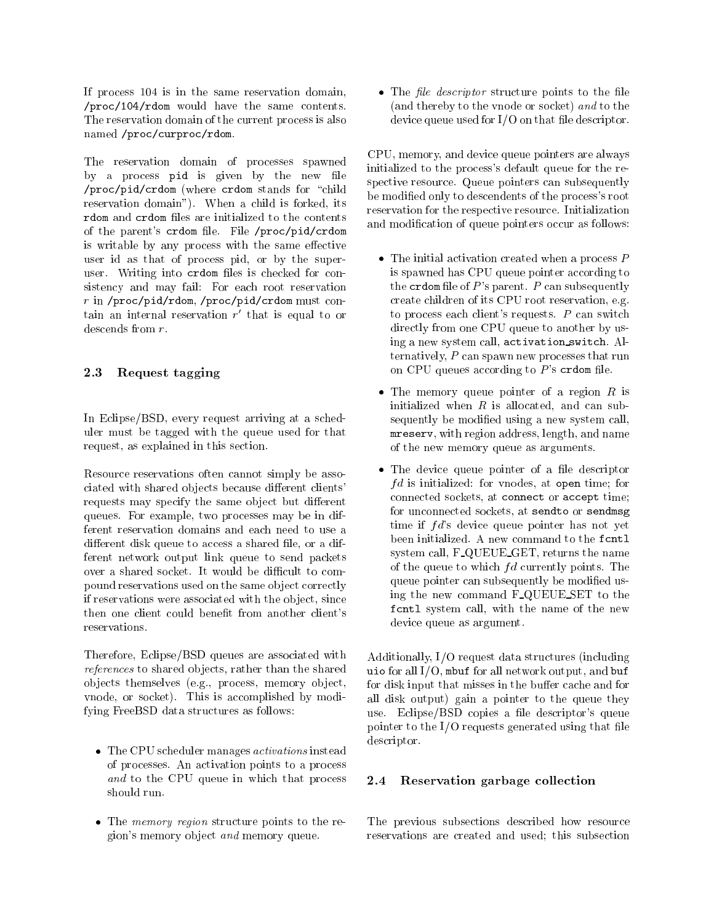If process 104 is in the same reservation domain, /proc/104/rdom would have the same contents. The reservation domain of the current process is also named /proc/curproc/rdom.

The reservation domain of processes spawned by a process pid is given by the new file /proc/pid/crdom (where crdom stands for \child reservation domain"). When a child is forked, its racm and created new and the contents to the contents of the parent's crdom file. File /proc/pid/crdom is writable by any process with the same effective user id as that of process pid, or by the superuser. Writing into crdom files is checked for consistency and may fail: For each root reservation <sup>r</sup> in /proc/pid/rdom, /proc/pid/crdom must con- $\tan$  an internal reservation  $r$  that is equal to or descends from r.

### 2.3 Request tagging

In Eclipse/BSD, every request arriving at a scheduler must be tagged with the queue used for that request, as explained in this section.

Resource reservations often cannot simply be associated with shared objects because different clients' requests may specify the same object but different queues. For example, two processes may be in different reservation domains and each need to use a different disk queue to access a shared file, or a different network output link queue to send packets over a shared socket. It would be difficult to compound reservations used on the same ob ject correctly if reservations were associated with the ob ject, since then one client could benefit from another client's reservations.

Therefore, Eclipse/BSD queues are associated with references to shared objects, rather than the shared ob jects themselves (e.g., process, memory ob ject, vnode, or socket). This is accomplished by modifying FreeBSD data structures as follows:

- $\bullet$  The CPU scheduler manages  $\emph{activations}$  instead of processes. An activation points to a process and to the CPU queue in which that process  $2.4$
- $\bullet$  lne *memory region* structure points to the region's memory ob ject and memory queue.

 $\bullet$  The *file descriptor* structure points to the file (and thereby to the vnode or socket) and to the device queue used for  $I/O$  on that file descriptor.

CPU, memory, and device queue pointers are always initialized to the process's default queue for the respective resource. Queue pointers can subsequently be modied only to descendents of the process's root reservation for the respective resource. Initialization and modication of queue pointers occur as follows:

- $\bullet$  The initial activation created when a process  $P$ is spawned has CPU queue pointer according to the crdom file of  $P$ 's parent.  $P$  can subsequently create children of its CPU root reservation, e.g. to process each client's requests.  $P$  can switch directly from one CPU queue to another by using a new system call, activation switch. Alternatively,  $P$  can spawn new processes that run
- on CPU queues according to  $P$ 's crdom file.<br>• The memory queue pointer of a region  $R$  is initialized when  $R$  is allocated, and can subsequently be modied using a new system call, mreserv, with region address, length, and name of the new memory queue as arguments.
- $\bullet$  The device queue pointer of a file descriptor  $\hspace{0.1mm}$  $fd$  is initialized: for vnodes, at open time; for connected sockets, at connect or accept time; for unconnected sockets, at sendto or sendmsg time if  $fd$ 's device queue pointer has not yet been initialized. A new command to the fcntl system call, F\_QUEUE\_GET, returns the name of the queue to which  $fd$  currently points. The queue pointer can subsequently be modified using the new command F QUEUE SET to the fcntl system call, with the name of the new device queue as argument.

Additionally, I/O request data structures (including  $\mathbf{u} = \mathbf{v}$  and  $\mathbf{v} = \mathbf{v}$  and  $\mathbf{u} = \mathbf{v}$  and  $\mathbf{v} = \mathbf{v}$  and  $\mathbf{v} = \mathbf{v}$ for disk input that misses in the buffer cache and for all disk output) gain a pointer to the queue they use. Eclipse/BSD copies a file descriptor's queue pointer to the  $I/O$  requests generated using that file descriptor.

### Reservation garbage collection

The previous subsections described how resource reservations are created and used; this subsection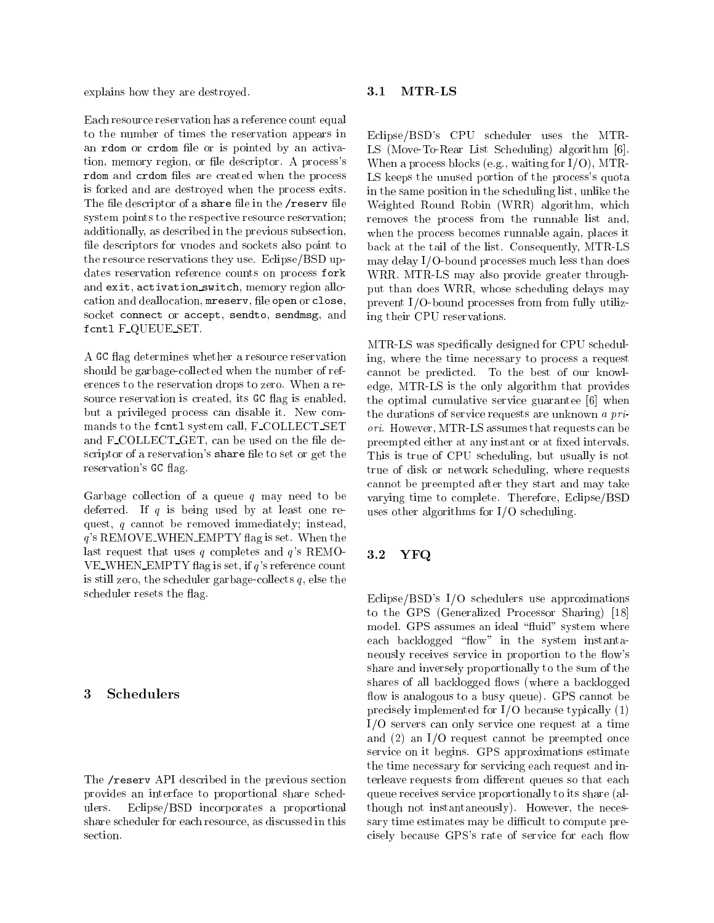explains how they are destroyed.

Each resource reservation has a reference count equal to the number of times the reservation appears in an rdom or crdom file or is pointed by an activation, memory region, or file descriptor. A process's rdom and created created when the process are  $\mu$ is forked and are destroyed when the process exits. The file descriptor of a share file in the /reserv file system points to the respective resource reservation; additionally, as described in the previous subsection, file descriptors for vnodes and sockets also point to the resource reservations they use. Eclipse/BSD updates reservation reference counts on process fork and exit, activation switch, memory region allocation and deallocation, mreserv, file open or close, socket connect or accept, sendto, sendmsg, and  $\frac{1}{2}$  . For  $\frac{1}{2}$  ,  $\frac{1}{2}$  ,  $\frac{1}{2}$  ,  $\frac{1}{2}$  ,  $\frac{1}{2}$  ,  $\frac{1}{2}$ 

A GC flag determines whether a resource reservation should be garbage-collected when the number of references to the reservation drops to zero. When a resource reservation is created, its GC flag is enabled, but a privileged process can disable it. New commands to the fcntl system call, F COLLECT SET and F\_COLLECT\_GET, can be used on the file descriptor of a reservation's share file to set or get the reservation's GC flag.

Garbage collection of a queue  $q$  may need to be deferred. If  $q$  is being used by at least one request, <sup>q</sup> cannot be removed immediately; instead, <sup>q</sup>'s REMOVE WHEN EMPTY 
ag is set. When the last request that uses  $q$  completes and  $q$ 's REMO-VE\_WHEN\_EMPTY flag is set, if  $q$ 's reference count is still zero, the scheduler garbage-collects  $q$ , else the scheduler resets the flag.

#### 3Schedulers

The /reserv API described in the previous section provides an interface to proportional share schedulers. Eclipse/BSD incorporates a proportional share scheduler for each resource, as discussed in this section.

### 3.1 MTR-LS

Eclipse/BSD's CPU scheduler uses the MTR-LS (Move-To-Rear List Scheduling) algorithm [6]. When a process blocks (e.g., waiting for  $I/O$ ), MTR-LS keeps the unused portion of the process's quota in the same position in the scheduling list, unlike the Weighted Round Robin (WRR) algorithm, which removes the process from the runnable list and, when the process becomes runnable again, places it back at the tail of the list. Consequently, MTR-LS may delay I/O-bound processes much less than does WRR. MTR-LS may also provide greater throughput than does WRR, whose scheduling delays may prevent I/O-bound processes from from fully utilizing their CPU reservations.

MTR-LS was specically designed for CPU scheduling, where the time necessary to process a request cannot be predicted. To the best of our knowledge, MTR-LS is the only algorithm that provides the optimal cumulative service guarantee [6] when the durations of service requests are unknown a priori. However, MTR-LS assumes that requests can be preempted either at any instant or at fixed intervals. This is true of CPU scheduling, but usually is not true of disk or network scheduling, where requests cannot be preempted after they start and may take varying time to complete. Therefore, Eclipse/BSD uses other algorithms for I/O scheduling.

#### $3.2$  ${\bf YFQ}$

Eclipse/BSD's I/O schedulers use approximations to the GPS (Generalized Processor Sharing) [18] model. GPS assumes an ideal "fluid" system where each backlogged "flow" in the system instantaneously receives service in proportion to the flow's share and inversely proportionally to the sum of the shares of all backlogged flows (where a backlogged flow is analogous to a busy queue). GPS cannot be precisely implemented for I/O because typically (1) I/O servers can only service one request at a time and (2) an I/O request cannot be preempted once service on it begins. GPS approximations estimate the time necessary for servicing each request and interleave requests from different queues so that each queue receives service proportionally to its share (although not instantaneously). However, the necessary time estimates may be difficult to compute precisely because GPS's rate of service for each flow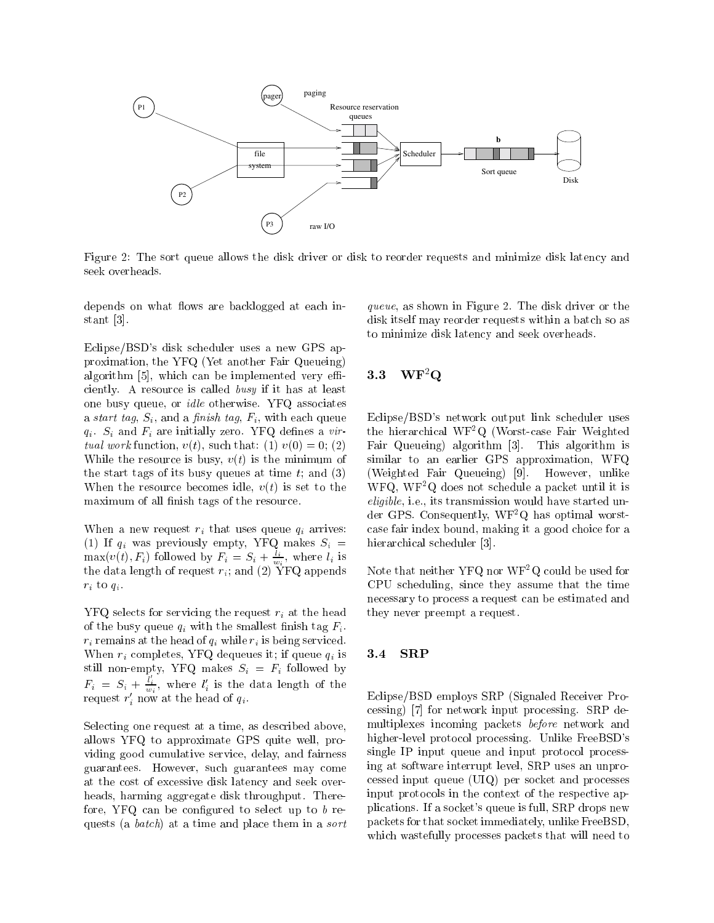

Figure 2: The sort queue allows the disk driver or disk to reorder requests and minimize disk latency and seek overheads.

depends on what flows are backlogged at each instant [3].

Eclipse/BSD's disk scheduler uses a new GPS approximation, the YFQ (Yet another Fair Queueing) algorithm [5], which can be implemented very effi-  $3.3$ ciently. A resource is called busy if it has at least one busy queue, or *idle* otherwise. YFQ associates a start tag,  $S_i$ , and a finish tag,  $F_i$ , with each queue  $q_i$ .  $S_i$  and  $F_i$  are initially zero. YFQ defines a virtual work function,  $v(t)$ , such that: (1)  $v(0) = 0$ ; (2) While the resource is busy,  $v(t)$  is the minimum of the start tags of its busy queues at time  $t$ ; and  $(3)$ When the resource becomes idle,  $v(t)$  is set to the maximum of all finish tags of the resource.

When a new request  $r_i$  that uses queue  $q_i$  arrives: (1) If  $q_i$  was previously empty, YFQ makes  $S_i =$  $\max(v(t), F_i)$  followed by  $F_i = S_i + \frac{1}{w_i}$ , where  $l_i$  is the data length of  $\mathcal{U}$  and  $\mathcal{U}$  yf $\mathcal{U}$  and  $\mathcal{U}$  appendix  $\mathcal{U}$  $r_i$  to  $q_i$ .

 $YFQ$  selects for servicing the request  $r_i$  at the head of the busy queue  $q_i$  with the smallest finish tag  $F_i$ .  $r_i$  remains at the head of  $q_i$  while  $r_i$  is being serviced. When  $r_i$  completes, YFQ dequeues it; if queue  $q_i$  is **3.4** still non-empty, YFQ makes  $S_i = F_i$  followed by  $F_i = S_i + \frac{l_i}{w_i}$ , where  $l'_i$  is the data length of the request  $r_i$  now at the head of  $q_i$ .

Selecting one request at a time, as described above, allows YFQ to approximate GPS quite well, providing good cumulative service, delay, and fairness guarantees. However, such guarantees may come at the cost of excessive disk latency and seek overheads, harming aggregate disk throughput. Therefore, YFQ can be configured to select up to  $b$  requests (a batch) at a time and place them in a sort queue, as shown in Figure 2. The disk driver or the disk itself may reorder requests within a batch so as to minimize disk latency and seek overheads.

### $\mathbf{W}\mathbf{F}^2\mathbf{Q}$

Eclipse/BSD's network output link scheduler uses the hierarchical WF2Q (Worst-case Fair Weighted Fair Queueing) algorithm [3]. This algorithm is similar to an earlier GPS approximation, WFQ (Weighted Fair Queueing) [9]. However, unlike WFQ, WF2Q does not schedule a packet until it is eligible, i.e., its transmission would have started under GPS. Consequently, WF2Q has optimal worstcase fair index bound, making it a good choice for a hierarchical scheduler [3].

Note that neither YFQ nor WF2Q could be used for CPU scheduling, since they assume that the time necessary to process a request can be estimated and they never preempt a request.

### 3.4 SRP

Eclipse/BSD employs SRP (Signaled Receiver Processing) [7] for network input processing. SRP de multiplexes incoming packets before network and higher-level protocol processing. Unlike FreeBSD's single IP input queue and input protocol processing at software interrupt level, SRP uses an unprocessed input queue (UIQ) per socket and processes input protocols in the context of the respective applications. If a socket's queue is full, SRP drops new packets for that socket immediately, unlike FreeBSD, which wastefully processes packets that will need to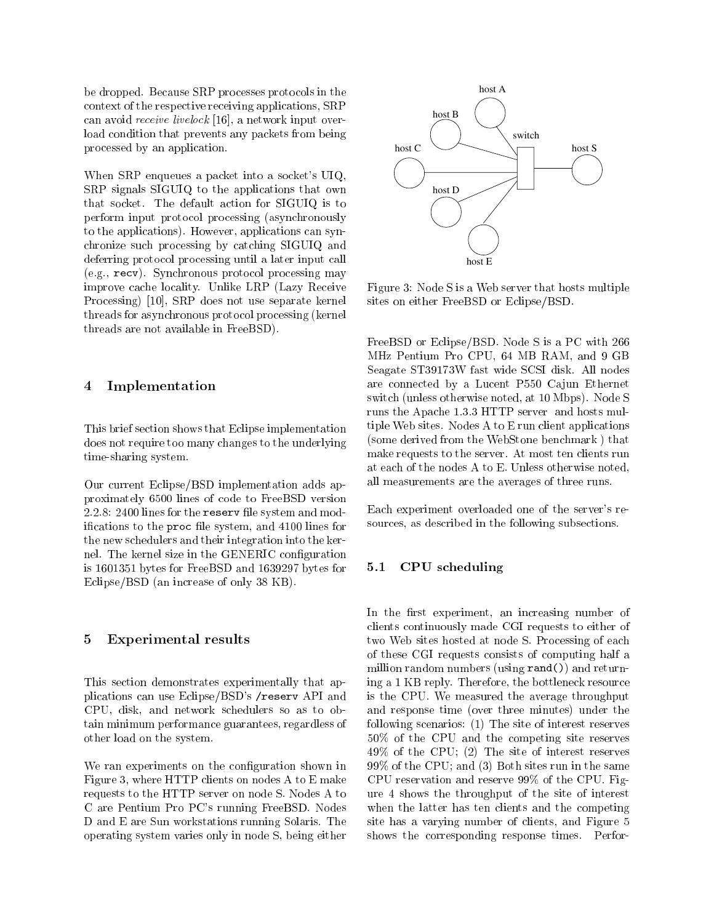be dropped. Because SRP processes protocols in the context of the respective receiving applications, SRP can avoid receive livelock [16], a network input overload condition that prevents any packets from being processed by an application.

When SRP enqueues a packet into a socket's UIQ, SRP signals SIGUIQ to the applications that own that socket. The default action for SIGUIQ is to perform input protocol processing (asynchronously to the applications). However, applications can synchronize such processing by catching SIGUIQ and deferring protocol processing until a later input call (e.g., recv). Synchronous protocol processing may improve cache locality. Unlike LRP (Lazy Receive Processing) [10], SRP does not use separate kernel threads for asynchronous protocol processing (kernel threads are not available in FreeBSD).

#### 4Implementation

This brief section shows that Eclipse implementation does not require too many changes to the underlying time-sharing system.

Our current Eclipse/BSD implementation adds approximately 6500 lines of code to FreeBSD version 2.2.8: 2400 lines for the reserv file system and modifications to the proc file system, and 4100 lines for the new schedulers and their integration into the kernel. The kernel size in the GENERIC configuration is 1601351 bytes for FreeBSD and 1639297 bytes for  $5.1$ Eclipse/BSD (an increase of only 38 KB).

#### 5Experimental results

This section demonstrates experimentally that applications can use Eclipse/BSD's /reserv API and CPU, disk, and network schedulers so as to obtain minimum performance guarantees, regardless of other load on the system.

We ran experiments on the configuration shown in Figure 3, where HTTP clients on nodes A to E make requests to the HTTP server on node S. Nodes A to C are Pentium Pro PC's running FreeBSD. Nodes D and E are Sun workstations running Solaris. The operating system varies only in node S, being either



Figure 3: Node S is a Web server that hosts multiple sites on either FreeBSD or Eclipse/BSD.

FreeBSD or Eclipse/BSD. Node S is a PC with 266 MHz Pentium Pro CPU, 64 MB RAM, and 9 GB Seagate ST39173W fast wide SCSI disk. All nodes are connected by a Lucent P550 Cajun Ethernet switch (unless otherwise noted, at 10 Mbps). Node S runs the Apache 1.3.3 HTTP server and hosts multiple Web sites. Nodes A to E run client applications (some derived from the WebStone benchmark ) that make requests to the server. At most ten clients run at each of the nodes A to E. Unless otherwise noted, all measurements are the averages of three runs.

Each experiment overloaded one of the server's resources, as described in the following subsections.

### 5.1 CPU scheduling

In the first experiment, an increasing number of clients continuously made CGI requests to either of two Web sites hosted at node S. Processing of each of these CGI requests consists of computing half a million random numbers (using rand()) and returning a 1 KB reply. Therefore, the bottleneck resource is the CPU. We measured the average throughput and response time (over three minutes) under the following scenarios: (1) The site of interest reserves 50% of the CPU and the competing site reserves 49% of the CPU; (2) The site of interest reserves 99% of the CPU; and (3) Both sites run in the same CPU reservation and reserve 99% of the CPU. Figure 4 shows the throughput of the site of interest when the latter has ten clients and the competing site has a varying number of clients, and Figure 5 shows the corresponding response times. Perfor-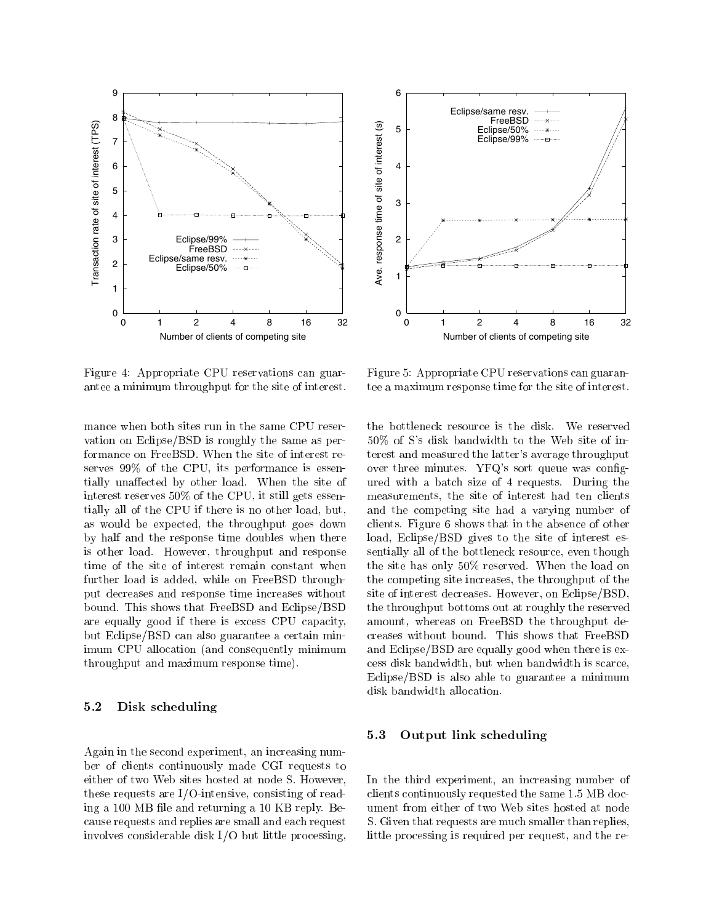



Figure 4: Appropriate CPU reservations can guarantee a minimum throughput for the site of interest.

mance when both sites run in the same CPU reser vation on Eclipse/BSD is roughly the same as performance on FreeBSD. When the site of interest reserves 99% of the CPU, its performance is essentially unaffected by other load. When the site of interest reserves 50% of the CPU, it still gets essentially all of the CPU if there is no other load, but, as would be expected, the throughput goes down by half and the response time doubles when there is other load. However, throughput and response time of the site of interest remain constant when further load is added, while on FreeBSD throughput decreases and response time increases without bound. This shows that FreeBSD and Eclipse/BSD are equally good if there is excess CPU capacity, but Eclipse/BSD can also guarantee a certain minimum CPU allocation (and consequently minimum throughput and maximum response time).

### 5.2 Disk scheduling

Again in the second experiment, an increasing number of clients continuously made CGI requests to either of two Web sites hosted at node S. However, these requests are I/O-intensive, consisting of reading a 100 MB file and returning a 10 KB reply. Because requests and replies are small and each request involves considerable disk I/O but little processing,

Figure 5: Appropriate CPU reservations can guarantee a maximum response time for the site of interest.

the bottleneck resource is the disk. We reserved 50% of S's disk bandwidth to the Web site of interest and measured the latter's average throughput over three minutes. YFQ's sort queue was configured with a batch size of 4 requests. During the measurements, the site of interest had ten clients and the competing site had a varying number of clients. Figure 6 shows that in the absence of other load, Eclipse/BSD gives to the site of interest essentially all of the bottleneck resource, even though the site has only 50% reserved. When the load on the competing site increases, the throughput of the site of interest decreases. However, on Eclipse/BSD, the throughput bottoms out at roughly the reserved amount, whereas on FreeBSD the throughput decreases without bound. This shows that FreeBSD and Eclipse/BSD are equally good when there is excess disk bandwidth, but when bandwidth is scarce, Eclipse/BSD is also able to guarantee a minimum disk bandwidth allocation.

#### 5.3 Output link scheduling

In the third experiment, an increasing number of clients continuously requested the same 1.5 MB document from either of two Web sites hosted at node S. Given that requests are much smaller than replies, little processing is required per request, and the re-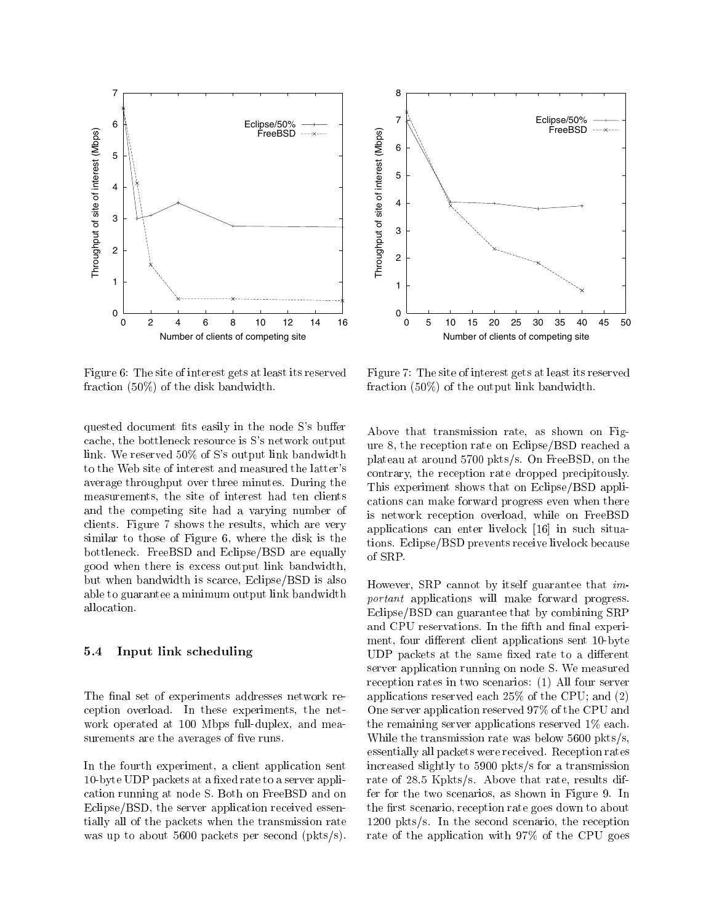



Figure 6: The site of interest gets at least its reserved fraction (50%) of the disk bandwidth.

quested document fits easily in the node S's buffer cache, the bottleneck resource is S's network output link. We reserved 50% of S's output link bandwidth to the Web site of interest and measured the latter's average throughput over three minutes. During the measurements, the site of interest had ten clients and the competing site had a varying number of clients. Figure 7 shows the results, which are very similar to those of Figure 6, where the disk is the bottleneck. FreeBSD and Eclipse/BSD are equally good when there is excess output link bandwidth, but when bandwidth is scarce, Eclipse/BSD is also able to guarantee a minimum output link bandwidth allocation.

### 5.4 Input link scheduling

The final set of experiments addresses network reception overload. In these experiments, the net work operated at 100 Mbps full-duplex, and measurements are the averages of five runs.

In the fourth experiment, a client application sent 10-byte UDP packets at a fixed rate to a server application running at node S. Both on FreeBSD and on Eclipse/BSD, the server application received essentially all of the packets when the transmission rate was up to about 5600 packets per second (pkts/s).

Figure 7: The site of interest gets at least its reserved fraction (50%) of the output link bandwidth.

Above that transmission rate, as shown on Figure 8, the reception rate on Eclipse/BSD reached a plateau at around 5700 pkts/s. On FreeBSD, on the contrary, the reception rate dropped precipitously. This experiment shows that on Eclipse/BSD applications can make forward progress even when there is network reception overload, while on FreeBSD applications can enter livelock [16] in such situations. Eclipse/BSD prevents receive livelock because of SRP.

However, SRP cannot by itself guarantee that important applications will make forward progress. Eclipse/BSD can guarantee that by combining SRP and CPU reservations. In the fifth and final experiment, four different client applications sent 10-byte UDP packets at the same fixed rate to a different server application running on node S. We measured reception rates in two scenarios: (1) All four server applications reserved each 25% of the CPU; and (2) One server application reserved 97% of the CPU and the remaining server applications reserved 1% each. While the transmission rate was below 5600 pkts/s, essentially all packets were received. Reception rates increased slightly to 5900 pkts/s for a transmission rate of 28.5 Kpkts/s. Above that rate, results differ for the two scenarios, as shown in Figure 9. In the first scenario, reception rate goes down to about 1200 pkts/s. In the second scenario, the reception rate of the application with 97% of the CPU goes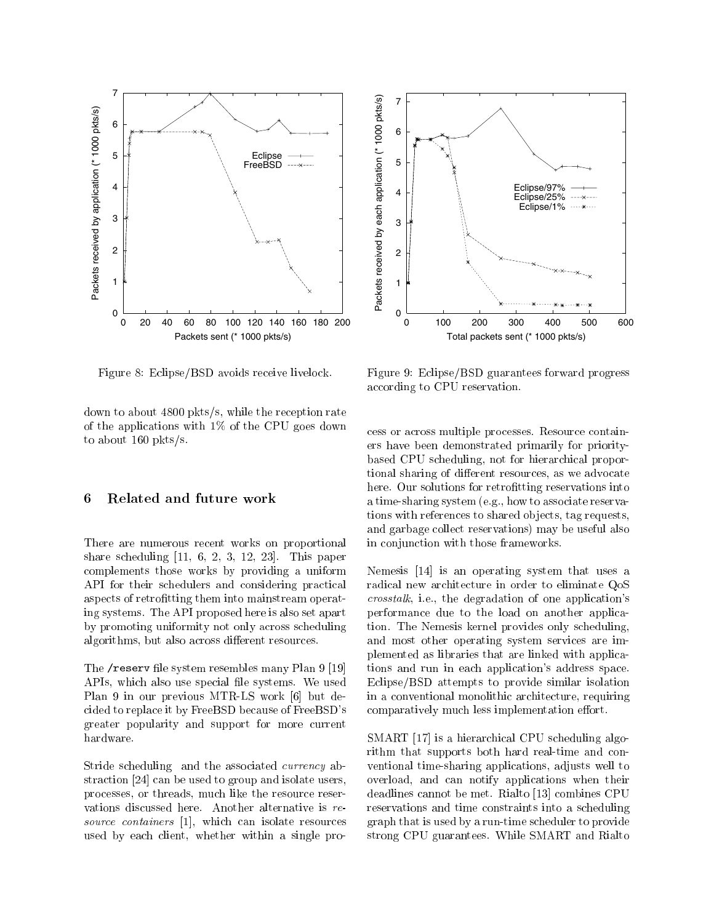



Figure 8: Eclipse/BSD avoids receive livelock.

down to about 4800 pkts/s, while the reception rate of the applications with 1% of the CPU goes down to about 160 pkts/s.

#### 6Related and future work

There are numerous recent works on proportional share scheduling  $[11, 6, 2, 3, 12, 23]$ . This paper complements those works by providing a uniform API for their schedulers and considering practical aspects of retrofitting them into mainstream operating systems. The API proposed here is also set apart by promoting uniformity not only across scheduling algorithms, but also across different resources.

The /reserv file system resembles many Plan 9 [19] APIs, which also use special file systems. We used Plan 9 in our previous MTR-LS work [6] but decided to replace it by FreeBSD because of FreeBSD's greater popularity and support for more current hardware.

Stride scheduling and the associated currency abstraction [24] can be used to group and isolate users, processes, or threads, much like the resource reser vations discussed here. Another alternative is resource containers [1], which can isolate resources used by each client, whether within a single pro-

Figure 9: Eclipse/BSD guarantees forward progress according to CPU reservation.

cess or across multiple processes. Resource containers have been demonstrated primarily for prioritybased CPU scheduling, not for hierarchical proportional sharing of different resources, as we advocate here. Our solutions for retrofitting reservations into a time-sharing system (e.g., how to associate reservations with references to shared objects, tag requests, and garbage collect reservations) may be useful also in conjunction with those frameworks.

Nemesis [14] is an operating system that uses a radical new architecture in order to eliminate QoS crosstalk, i.e., the degradation of one application's performance due to the load on another application. The Nemesis kernel provides only scheduling, and most other operating system services are implemented as libraries that are linked with applications and run in each application's address space. Eclipse/BSD attempts to provide similar isolation in a conventional monolithic architecture, requiring comparatively much less implementation effort.

SMART [17] is a hierarchical CPU scheduling algorithm that supports both hard real-time and con ventional time-sharing applications, adjusts well to overload, and can notify applications when their deadlines cannot be met. Rialto [13] combines CPU reservations and time constraints into a scheduling graph that is used by a run-time scheduler to provide strong CPU guarantees. While SMART and Rialto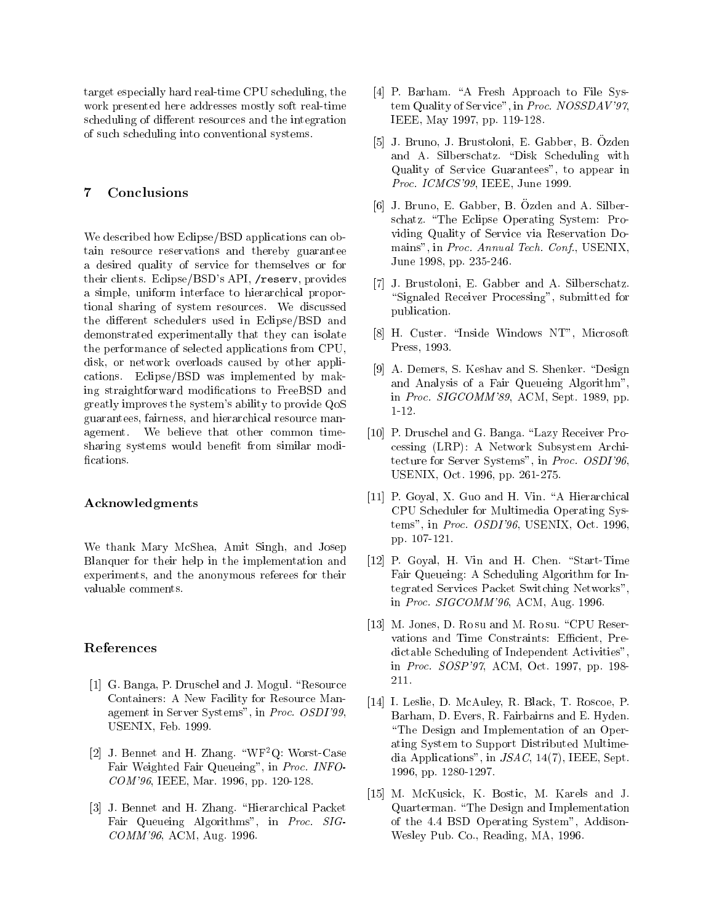target especially hard real-time CPU scheduling, the work presented here addresses mostly soft real-time scheduling of different resources and the integration of such scheduling into conventional systems.

#### 7Conclusions

We described how Eclipse/BSD applications can obtain resource reservations and thereby guarantee a desired quality of service for themselves or for their clients. Eclipse/BSD's API, /reserv, provides a simple, uniform interface to hierarchical proportional sharing of system resources. We discussed the different schedulers used in Eclipse/BSD and demonstrated experimentally that they can isolate the performance of selected applications from CPU, disk, or network overloads caused by other applications. Eclipse/BSD was implemented by making straightforward modications to FreeBSD and greatly improves the system's ability to provide QoS guarantees, fairness, and hierarchical resource management. We believe that other common timesharing systems would benefit from similar modifications.

#### Acknowledgments

We thank Mary McShea, Amit Singh, and Josep Blanquer for their help in the implementation and experiments, and the anonymous referees for their valuable comments.

### References

- [1] G. Banga, P. Druschel and J. Mogul. "Resource Containers: A New Facility for Resource Management in Server Systems", in Proc. OSDI'99, USENIX, Feb. 1999.
- [2] J. Bennet and H. Zhang.  $\mathrm{``WF^2Q:}$  Worst-Case Fair Weighted Fair Queueing", in Proc. INFO-COM'96, IEEE, Mar. 1996, pp. 120-128.
- [3] J. Bennet and H. Zhang. "Hierarchical Packet Fair Queueing Algorithms", in Proc. SIG-COMM'96, ACM, Aug. 1996.
- [4] P. Barham. "A Fresh Approach to File System Quality of Service", in Proc. NOSSDAV'97, IEEE, May 1997, pp. 119-128.
- [5] J. Bruno, J. Brustoloni, E. Gabber, B. Ozden and A. Silberschatz. "Disk Scheduling with Quality of Service Guarantees", to appear in Proc. ICMCS'99, IEEE, June 1999.
- [6] J. Bruno, E. Gabber, B. Ozden and A. Silber schatz. "The Eclipse Operating System: Providing Quality of Service via Reservation Domains", in Proc. Annual Tech. Conf., USENIX, June 1998, pp. 235-246.
- [7] J. Brustoloni, E. Gabber and A. Silberschatz. "Signaled Receiver Processing", submitted for publication.
- [8] H. Custer. \Inside Windows NT", Microsoft Press, 1993.
- [9] A. Demers, S. Keshav and S. Shenker. "Design and Analysis of a Fair Queueing Algorithm", in Proc. SIGCOMM'89, ACM, Sept. 1989, pp. 1-12.
- [10] P. Druschel and G. Banga. "Lazy Receiver Processing (LRP): A Network Subsystem Architecture for Server Systems", in Proc. OSDI'96, USENIX, Oct. 1996, pp. 261-275.
- [11] P. Goyal, X. Guo and H. Vin. "A Hierarchical CPU Scheduler for Multimedia Operating Systems", in Proc. OSDI'96, USENIX, Oct. 1996, pp. 107-121.
- [12] P. Goyal, H. Vin and H. Chen. "Start-Time Fair Queueing: A Scheduling Algorithm for Integrated Services Packet Switching Networks", in Proc. SIGCOMM'96, ACM, Aug. 1996.
- [13] M. Jones, D. Ro su and M. Ro su. "CPU Reservations and Time Constraints: Efficient, Predictable Scheduling of Independent Activities", in Proc. SOSP'97, ACM, Oct. 1997, pp. 198- 211.
- [14] I. Leslie, D. McAuley, R. Black, T. Roscoe, P. Barham, D. Evers, R. Fairbairns and E. Hyden. "The Design and Implementation of an Operating System to Support Distributed Multimedia Applications", in JSAC, 14(7), IEEE, Sept. 1996, pp. 1280-1297.
- [15] M. McKusick, K. Bostic, M. Karels and J. Quarterman. \The Design and Implementation of the 4.4 BSD Operating System", Addison-Wesley Pub. Co., Reading, MA, 1996.